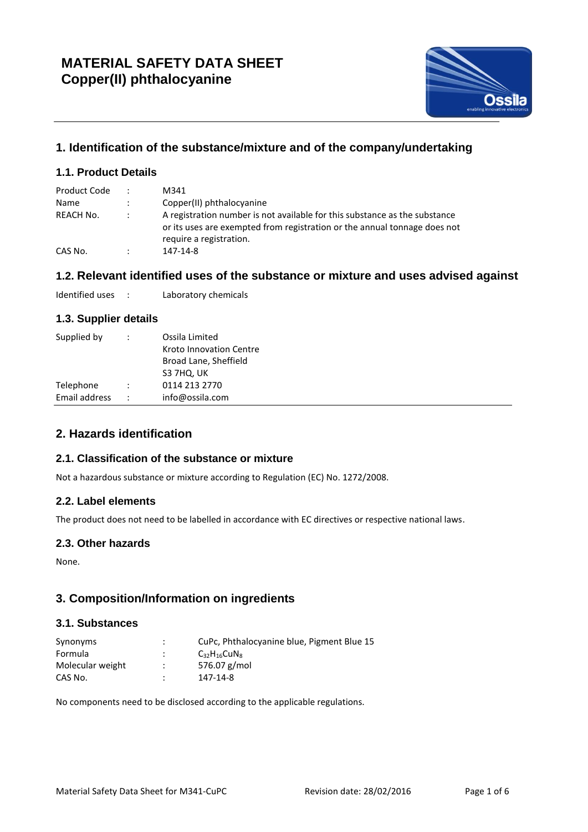

# **1. Identification of the substance/mixture and of the company/undertaking**

# **1.1. Product Details**

| Product Code |           | M341                                                                                                                                                                               |
|--------------|-----------|------------------------------------------------------------------------------------------------------------------------------------------------------------------------------------|
| Name         |           | Copper(II) phthalocyanine                                                                                                                                                          |
| REACH No.    |           | A registration number is not available for this substance as the substance<br>or its uses are exempted from registration or the annual tonnage does not<br>require a registration. |
| CAS No.      | $\bullet$ | 147-14-8                                                                                                                                                                           |

# **1.2. Relevant identified uses of the substance or mixture and uses advised against**

Identified uses : Laboratory chemicals

## **1.3. Supplier details**

| Broad Lane, Sheffield<br>S3 7HQ, UK                      |  |
|----------------------------------------------------------|--|
| 0114 213 2770<br>Telephone                               |  |
| Email address<br>info@ossila.com<br>$\ddot{\phantom{0}}$ |  |

# **2. Hazards identification**

## **2.1. Classification of the substance or mixture**

Not a hazardous substance or mixture according to Regulation (EC) No. 1272/2008.

#### **2.2. Label elements**

The product does not need to be labelled in accordance with EC directives or respective national laws.

#### **2.3. Other hazards**

None.

## **3. Composition/Information on ingredients**

### **3.1. Substances**

| Synonyms         | ٠<br>$\cdot$         | CuPc, Phthalocyanine blue, Pigment Blue 15 |
|------------------|----------------------|--------------------------------------------|
| Formula          |                      | $C_{32}H_{16}CuN_{8}$                      |
| Molecular weight | $\ddot{\phantom{0}}$ | 576.07 g/mol                               |
| CAS No.          | ٠                    | 147-14-8                                   |

No components need to be disclosed according to the applicable regulations.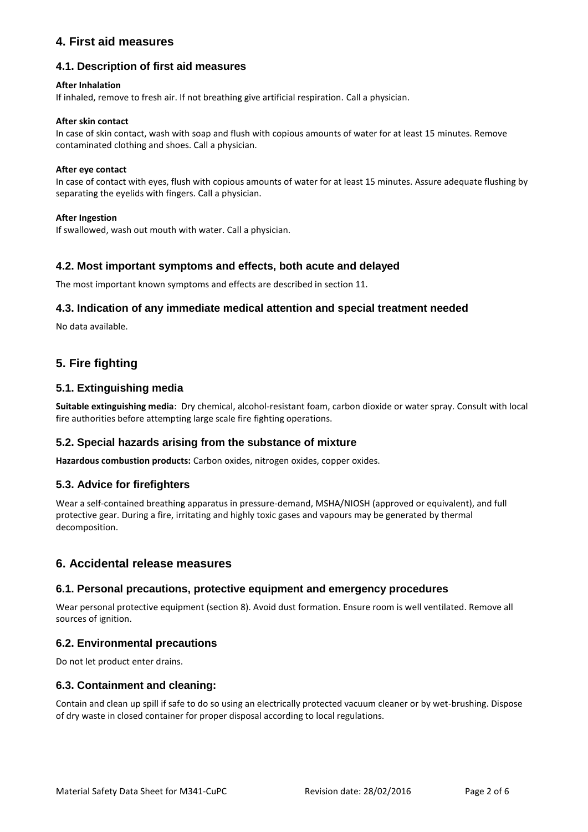# **4. First aid measures**

## **4.1. Description of first aid measures**

#### **After Inhalation**

If inhaled, remove to fresh air. If not breathing give artificial respiration. Call a physician.

#### **After skin contact**

In case of skin contact, wash with soap and flush with copious amounts of water for at least 15 minutes. Remove contaminated clothing and shoes. Call a physician.

#### **After eye contact**

In case of contact with eyes, flush with copious amounts of water for at least 15 minutes. Assure adequate flushing by separating the eyelids with fingers. Call a physician.

#### **After Ingestion**

If swallowed, wash out mouth with water. Call a physician.

### **4.2. Most important symptoms and effects, both acute and delayed**

The most important known symptoms and effects are described in section 11.

### **4.3. Indication of any immediate medical attention and special treatment needed**

No data available.

# **5. Fire fighting**

### **5.1. Extinguishing media**

**Suitable extinguishing media**: Dry chemical, alcohol-resistant foam, carbon dioxide or water spray. Consult with local fire authorities before attempting large scale fire fighting operations.

#### **5.2. Special hazards arising from the substance of mixture**

**Hazardous combustion products:** Carbon oxides, nitrogen oxides, copper oxides.

#### **5.3. Advice for firefighters**

Wear a self-contained breathing apparatus in pressure-demand, MSHA/NIOSH (approved or equivalent), and full protective gear. During a fire, irritating and highly toxic gases and vapours may be generated by thermal decomposition.

## **6. Accidental release measures**

#### **6.1. Personal precautions, protective equipment and emergency procedures**

Wear personal protective equipment (section 8). Avoid dust formation. Ensure room is well ventilated. Remove all sources of ignition.

#### **6.2. Environmental precautions**

Do not let product enter drains.

#### **6.3. Containment and cleaning:**

Contain and clean up spill if safe to do so using an electrically protected vacuum cleaner or by wet-brushing. Dispose of dry waste in closed container for proper disposal according to local regulations.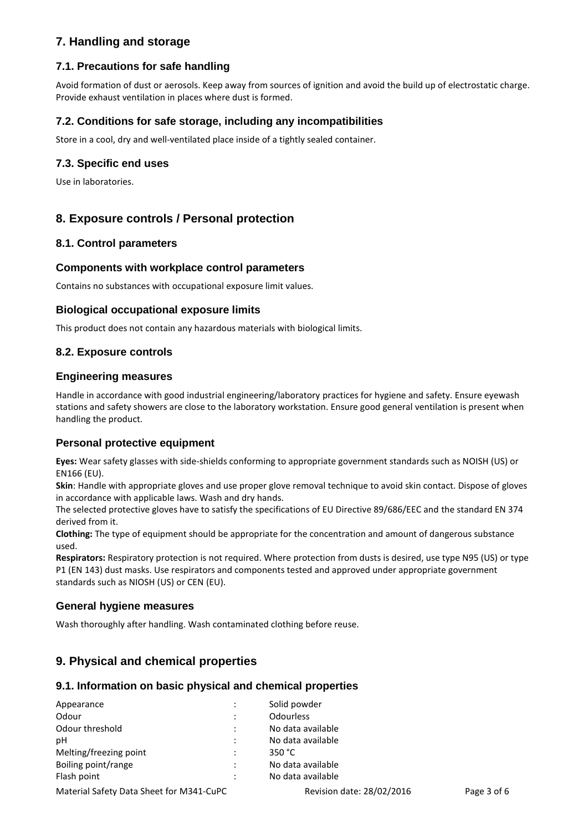# **7. Handling and storage**

# **7.1. Precautions for safe handling**

Avoid formation of dust or aerosols. Keep away from sources of ignition and avoid the build up of electrostatic charge. Provide exhaust ventilation in places where dust is formed.

### **7.2. Conditions for safe storage, including any incompatibilities**

Store in a cool, dry and well-ventilated place inside of a tightly sealed container.

### **7.3. Specific end uses**

Use in laboratories.

## **8. Exposure controls / Personal protection**

#### **8.1. Control parameters**

#### **Components with workplace control parameters**

Contains no substances with occupational exposure limit values.

#### **Biological occupational exposure limits**

This product does not contain any hazardous materials with biological limits.

#### **8.2. Exposure controls**

#### **Engineering measures**

Handle in accordance with good industrial engineering/laboratory practices for hygiene and safety. Ensure eyewash stations and safety showers are close to the laboratory workstation. Ensure good general ventilation is present when handling the product.

#### **Personal protective equipment**

**Eyes:** Wear safety glasses with side-shields conforming to appropriate government standards such as NOISH (US) or EN166 (EU).

**Skin**: Handle with appropriate gloves and use proper glove removal technique to avoid skin contact. Dispose of gloves in accordance with applicable laws. Wash and dry hands.

The selected protective gloves have to satisfy the specifications of EU Directive 89/686/EEC and the standard EN 374 derived from it.

**Clothing:** The type of equipment should be appropriate for the concentration and amount of dangerous substance used.

**Respirators:** Respiratory protection is not required. Where protection from dusts is desired, use type N95 (US) or type P1 (EN 143) dust masks. Use respirators and components tested and approved under appropriate government standards such as NIOSH (US) or CEN (EU).

#### **General hygiene measures**

Wash thoroughly after handling. Wash contaminated clothing before reuse.

## **9. Physical and chemical properties**

#### **9.1. Information on basic physical and chemical properties**

| Appearance                               |  | Solid powder              |             |  |
|------------------------------------------|--|---------------------------|-------------|--|
| Odour                                    |  | <b>Odourless</b>          |             |  |
| Odour threshold                          |  | No data available         |             |  |
| рH                                       |  | No data available         |             |  |
| Melting/freezing point                   |  | 350 $^{\circ}$ C          |             |  |
| Boiling point/range                      |  | No data available         |             |  |
| Flash point                              |  | No data available         |             |  |
| Material Safety Data Sheet for M341-CuPC |  | Revision date: 28/02/2016 | Page 3 of 6 |  |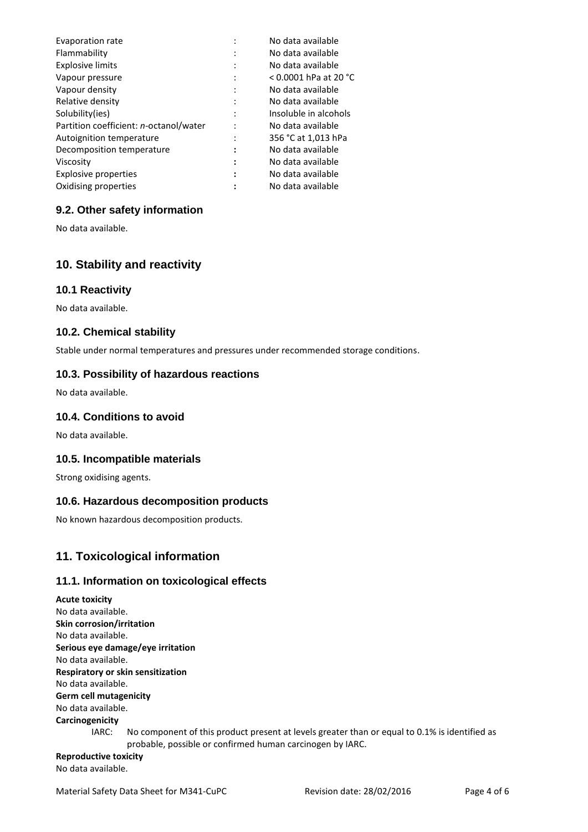| Evaporation rate                       |                      | No data available       |
|----------------------------------------|----------------------|-------------------------|
| Flammability                           |                      | No data available       |
| <b>Explosive limits</b>                |                      | No data available       |
| Vapour pressure                        |                      | $<$ 0.0001 hPa at 20 °C |
| Vapour density                         |                      | No data available       |
| Relative density                       |                      | No data available       |
| Solubility(ies)                        |                      | Insoluble in alcohols   |
| Partition coefficient: n-octanol/water |                      | No data available       |
| Autoignition temperature               |                      | 356 °C at 1,013 hPa     |
| Decomposition temperature              | $\ddot{\phantom{a}}$ | No data available       |
| Viscosity                              | :                    | No data available       |
| <b>Explosive properties</b>            |                      | No data available       |
| Oxidising properties                   |                      | No data available       |

### **9.2. Other safety information**

No data available.

## **10. Stability and reactivity**

#### **10.1 Reactivity**

No data available.

#### **10.2. Chemical stability**

Stable under normal temperatures and pressures under recommended storage conditions.

#### **10.3. Possibility of hazardous reactions**

No data available.

### **10.4. Conditions to avoid**

No data available.

#### **10.5. Incompatible materials**

Strong oxidising agents.

#### **10.6. Hazardous decomposition products**

No known hazardous decomposition products.

## **11. Toxicological information**

#### **11.1. Information on toxicological effects**

**Acute toxicity** No data available. **Skin corrosion/irritation** No data available. **Serious eye damage/eye irritation** No data available. **Respiratory or skin sensitization** No data available. **Germ cell mutagenicity** No data available. **Carcinogenicity** IARC: No component of this product present at levels greater than or equal to 0.1% is identified as probable, possible or confirmed human carcinogen by IARC. **Reproductive toxicity**

No data available.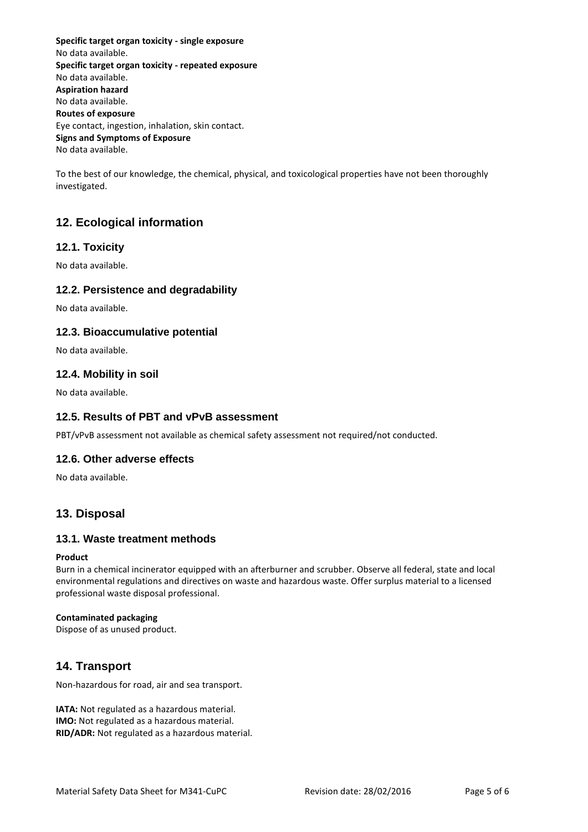**Specific target organ toxicity - single exposure** No data available. **Specific target organ toxicity - repeated exposure** No data available. **Aspiration hazard** No data available. **Routes of exposure** Eye contact, ingestion, inhalation, skin contact. **Signs and Symptoms of Exposure** No data available.

To the best of our knowledge, the chemical, physical, and toxicological properties have not been thoroughly investigated.

# **12. Ecological information**

## **12.1. Toxicity**

No data available.

### **12.2. Persistence and degradability**

No data available.

### **12.3. Bioaccumulative potential**

No data available.

### **12.4. Mobility in soil**

No data available.

### **12.5. Results of PBT and vPvB assessment**

PBT/vPvB assessment not available as chemical safety assessment not required/not conducted.

#### **12.6. Other adverse effects**

No data available.

## **13. Disposal**

#### **13.1. Waste treatment methods**

#### **Product**

Burn in a chemical incinerator equipped with an afterburner and scrubber. Observe all federal, state and local environmental regulations and directives on waste and hazardous waste. Offer surplus material to a licensed professional waste disposal professional.

#### **Contaminated packaging**

Dispose of as unused product.

# **14. Transport**

Non-hazardous for road, air and sea transport.

**IATA:** Not regulated as a hazardous material. **IMO:** Not regulated as a hazardous material. **RID/ADR:** Not regulated as a hazardous material.